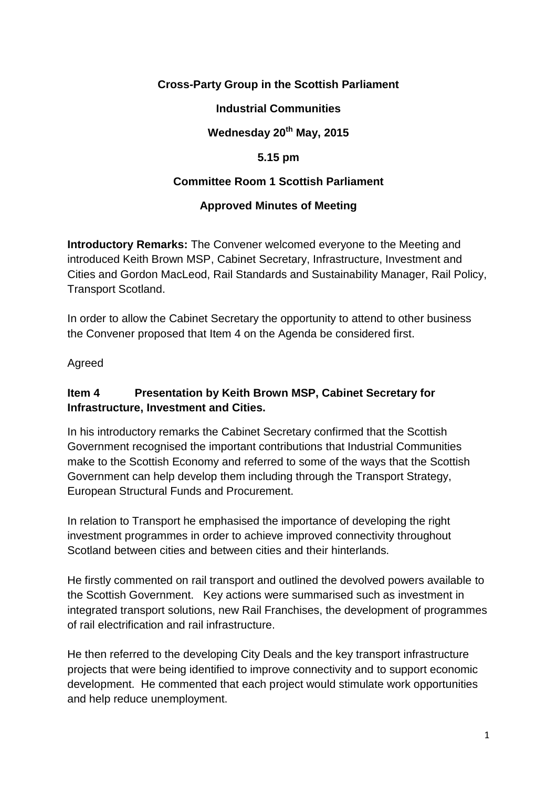### **Cross-Party Group in the Scottish Parliament**

#### **Industrial Communities**

# **Wednesday 20th May, 2015**

#### **5.15 pm**

### **Committee Room 1 Scottish Parliament**

#### **Approved Minutes of Meeting**

**Introductory Remarks:** The Convener welcomed everyone to the Meeting and introduced Keith Brown MSP, Cabinet Secretary, Infrastructure, Investment and Cities and Gordon MacLeod, Rail Standards and Sustainability Manager, Rail Policy, Transport Scotland.

In order to allow the Cabinet Secretary the opportunity to attend to other business the Convener proposed that Item 4 on the Agenda be considered first.

Agreed

## **Item 4 Presentation by Keith Brown MSP, Cabinet Secretary for Infrastructure, Investment and Cities.**

In his introductory remarks the Cabinet Secretary confirmed that the Scottish Government recognised the important contributions that Industrial Communities make to the Scottish Economy and referred to some of the ways that the Scottish Government can help develop them including through the Transport Strategy, European Structural Funds and Procurement.

In relation to Transport he emphasised the importance of developing the right investment programmes in order to achieve improved connectivity throughout Scotland between cities and between cities and their hinterlands.

He firstly commented on rail transport and outlined the devolved powers available to the Scottish Government. Key actions were summarised such as investment in integrated transport solutions, new Rail Franchises, the development of programmes of rail electrification and rail infrastructure.

He then referred to the developing City Deals and the key transport infrastructure projects that were being identified to improve connectivity and to support economic development. He commented that each project would stimulate work opportunities and help reduce unemployment.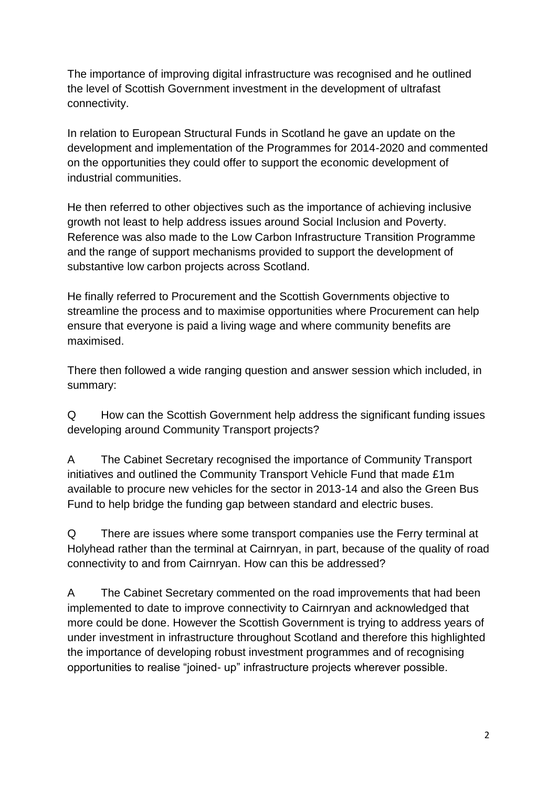The importance of improving digital infrastructure was recognised and he outlined the level of Scottish Government investment in the development of ultrafast connectivity.

In relation to European Structural Funds in Scotland he gave an update on the development and implementation of the Programmes for 2014-2020 and commented on the opportunities they could offer to support the economic development of industrial communities.

He then referred to other objectives such as the importance of achieving inclusive growth not least to help address issues around Social Inclusion and Poverty. Reference was also made to the Low Carbon Infrastructure Transition Programme and the range of support mechanisms provided to support the development of substantive low carbon projects across Scotland.

He finally referred to Procurement and the Scottish Governments objective to streamline the process and to maximise opportunities where Procurement can help ensure that everyone is paid a living wage and where community benefits are maximised.

There then followed a wide ranging question and answer session which included, in summary:

Q How can the Scottish Government help address the significant funding issues developing around Community Transport projects?

A The Cabinet Secretary recognised the importance of Community Transport initiatives and outlined the Community Transport Vehicle Fund that made £1m available to procure new vehicles for the sector in 2013-14 and also the Green Bus Fund to help bridge the funding gap between standard and electric buses.

Q There are issues where some transport companies use the Ferry terminal at Holyhead rather than the terminal at Cairnryan, in part, because of the quality of road connectivity to and from Cairnryan. How can this be addressed?

A The Cabinet Secretary commented on the road improvements that had been implemented to date to improve connectivity to Cairnryan and acknowledged that more could be done. However the Scottish Government is trying to address years of under investment in infrastructure throughout Scotland and therefore this highlighted the importance of developing robust investment programmes and of recognising opportunities to realise "joined- up" infrastructure projects wherever possible.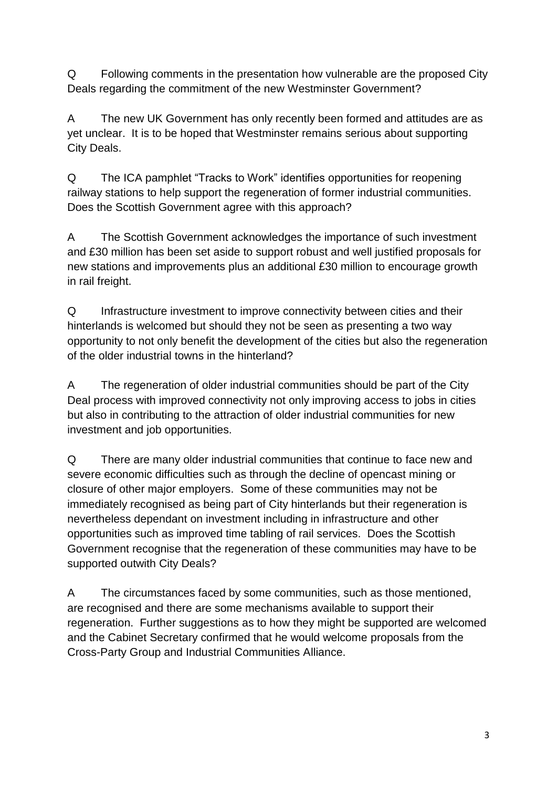Q Following comments in the presentation how vulnerable are the proposed City Deals regarding the commitment of the new Westminster Government?

A The new UK Government has only recently been formed and attitudes are as yet unclear. It is to be hoped that Westminster remains serious about supporting City Deals.

Q The ICA pamphlet "Tracks to Work" identifies opportunities for reopening railway stations to help support the regeneration of former industrial communities. Does the Scottish Government agree with this approach?

A The Scottish Government acknowledges the importance of such investment and £30 million has been set aside to support robust and well justified proposals for new stations and improvements plus an additional £30 million to encourage growth in rail freight.

Q Infrastructure investment to improve connectivity between cities and their hinterlands is welcomed but should they not be seen as presenting a two way opportunity to not only benefit the development of the cities but also the regeneration of the older industrial towns in the hinterland?

A The regeneration of older industrial communities should be part of the City Deal process with improved connectivity not only improving access to jobs in cities but also in contributing to the attraction of older industrial communities for new investment and job opportunities.

Q There are many older industrial communities that continue to face new and severe economic difficulties such as through the decline of opencast mining or closure of other major employers. Some of these communities may not be immediately recognised as being part of City hinterlands but their regeneration is nevertheless dependant on investment including in infrastructure and other opportunities such as improved time tabling of rail services. Does the Scottish Government recognise that the regeneration of these communities may have to be supported outwith City Deals?

A The circumstances faced by some communities, such as those mentioned, are recognised and there are some mechanisms available to support their regeneration. Further suggestions as to how they might be supported are welcomed and the Cabinet Secretary confirmed that he would welcome proposals from the Cross-Party Group and Industrial Communities Alliance.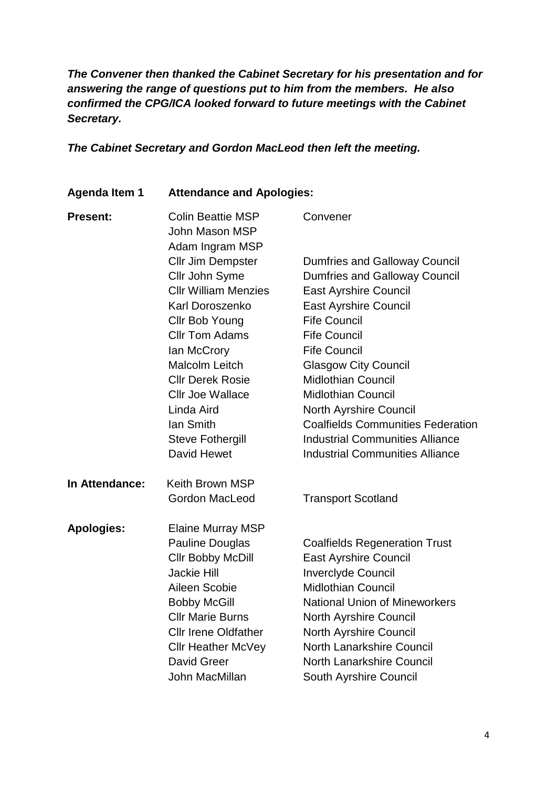*The Convener then thanked the Cabinet Secretary for his presentation and for answering the range of questions put to him from the members. He also confirmed the CPG/ICA looked forward to future meetings with the Cabinet Secretary.* 

*The Cabinet Secretary and Gordon MacLeod then left the meeting.*

#### **Agenda Item 1 Attendance and Apologies:**

| <b>Present:</b>   | <b>Colin Beattie MSP</b><br>John Mason MSP<br>Adam Ingram MSP | Convener                                                                                                     |                |                                        |
|-------------------|---------------------------------------------------------------|--------------------------------------------------------------------------------------------------------------|----------------|----------------------------------------|
|                   | <b>Cllr Jim Dempster</b>                                      | <b>Dumfries and Galloway Council</b>                                                                         |                |                                        |
|                   | Cllr John Syme                                                | <b>Dumfries and Galloway Council</b>                                                                         |                |                                        |
|                   | <b>Cllr William Menzies</b>                                   | <b>East Ayrshire Council</b>                                                                                 |                |                                        |
|                   | Karl Doroszenko                                               | <b>East Ayrshire Council</b>                                                                                 |                |                                        |
|                   | Cllr Bob Young                                                | <b>Fife Council</b>                                                                                          |                |                                        |
|                   | <b>Cllr Tom Adams</b>                                         | <b>Fife Council</b>                                                                                          |                |                                        |
|                   | lan McCrory                                                   | <b>Fife Council</b>                                                                                          |                |                                        |
|                   | <b>Malcolm Leitch</b>                                         | <b>Glasgow City Council</b>                                                                                  |                |                                        |
|                   | <b>CIIr Derek Rosie</b>                                       | <b>Midlothian Council</b>                                                                                    |                |                                        |
|                   | <b>Cllr Joe Wallace</b>                                       | <b>Midlothian Council</b>                                                                                    |                |                                        |
|                   | Linda Aird<br>lan Smith<br><b>Steve Fothergill</b>            | North Ayrshire Council<br><b>Coalfields Communities Federation</b><br><b>Industrial Communities Alliance</b> |                |                                        |
|                   |                                                               |                                                                                                              | David Hewet    | <b>Industrial Communities Alliance</b> |
|                   |                                                               |                                                                                                              | In Attendance: | <b>Keith Brown MSP</b>                 |
|                   | <b>Gordon MacLeod</b>                                         | <b>Transport Scotland</b>                                                                                    |                |                                        |
| <b>Apologies:</b> | <b>Elaine Murray MSP</b>                                      |                                                                                                              |                |                                        |
|                   | <b>Pauline Douglas</b>                                        | <b>Coalfields Regeneration Trust</b>                                                                         |                |                                        |
|                   | <b>Cllr Bobby McDill</b>                                      | <b>East Ayrshire Council</b>                                                                                 |                |                                        |
|                   | <b>Jackie Hill</b>                                            | <b>Inverclyde Council</b>                                                                                    |                |                                        |
|                   | Aileen Scobie                                                 | <b>Midlothian Council</b>                                                                                    |                |                                        |
|                   | <b>Bobby McGill</b>                                           | <b>National Union of Mineworkers</b>                                                                         |                |                                        |
|                   | <b>Cllr Marie Burns</b>                                       | <b>North Ayrshire Council</b>                                                                                |                |                                        |
|                   | <b>Cllr Irene Oldfather</b>                                   | North Ayrshire Council                                                                                       |                |                                        |
|                   | <b>Cllr Heather McVey</b>                                     | <b>North Lanarkshire Council</b>                                                                             |                |                                        |
|                   | David Greer                                                   | <b>North Lanarkshire Council</b>                                                                             |                |                                        |
|                   | John MacMillan                                                | South Ayrshire Council                                                                                       |                |                                        |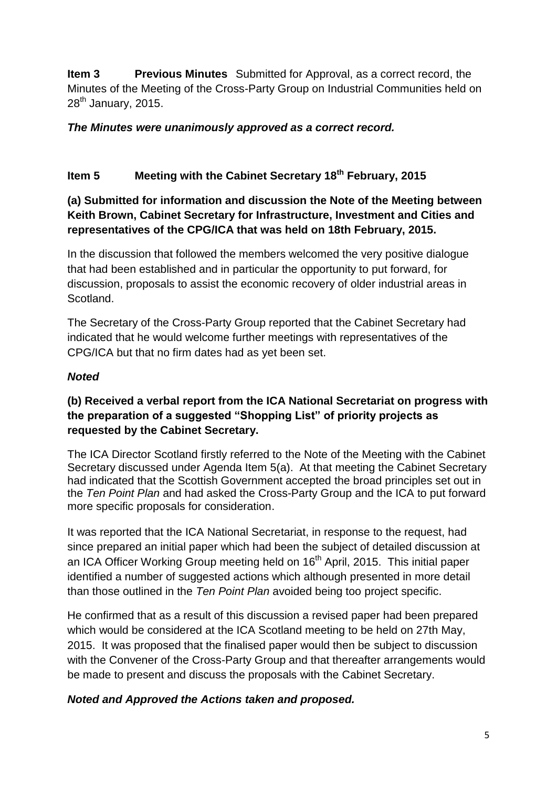**Item 3 Previous Minutes** Submitted for Approval, as a correct record, the Minutes of the Meeting of the Cross-Party Group on Industrial Communities held on  $28<sup>th</sup>$  January, 2015.

### *The Minutes were unanimously approved as a correct record.*

## **Item 5 Meeting with the Cabinet Secretary 18th February, 2015**

## **(a) Submitted for information and discussion the Note of the Meeting between Keith Brown, Cabinet Secretary for Infrastructure, Investment and Cities and representatives of the CPG/ICA that was held on 18th February, 2015.**

In the discussion that followed the members welcomed the very positive dialogue that had been established and in particular the opportunity to put forward, for discussion, proposals to assist the economic recovery of older industrial areas in Scotland.

The Secretary of the Cross-Party Group reported that the Cabinet Secretary had indicated that he would welcome further meetings with representatives of the CPG/ICA but that no firm dates had as yet been set.

### *Noted*

### **(b) Received a verbal report from the ICA National Secretariat on progress with the preparation of a suggested "Shopping List" of priority projects as requested by the Cabinet Secretary.**

The ICA Director Scotland firstly referred to the Note of the Meeting with the Cabinet Secretary discussed under Agenda Item 5(a). At that meeting the Cabinet Secretary had indicated that the Scottish Government accepted the broad principles set out in the *Ten Point Plan* and had asked the Cross-Party Group and the ICA to put forward more specific proposals for consideration.

It was reported that the ICA National Secretariat, in response to the request, had since prepared an initial paper which had been the subject of detailed discussion at an ICA Officer Working Group meeting held on 16<sup>th</sup> April, 2015. This initial paper identified a number of suggested actions which although presented in more detail than those outlined in the *Ten Point Plan* avoided being too project specific.

He confirmed that as a result of this discussion a revised paper had been prepared which would be considered at the ICA Scotland meeting to be held on 27th May, 2015. It was proposed that the finalised paper would then be subject to discussion with the Convener of the Cross-Party Group and that thereafter arrangements would be made to present and discuss the proposals with the Cabinet Secretary.

## *Noted and Approved the Actions taken and proposed.*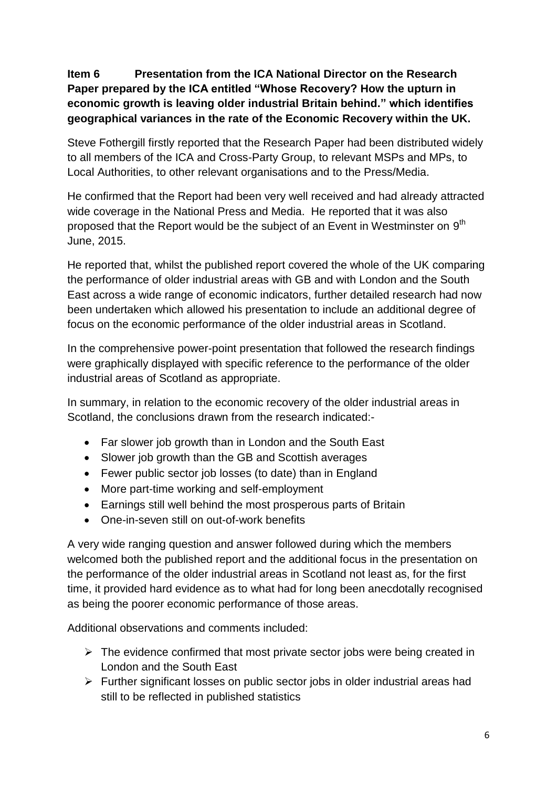## **Item 6 Presentation from the ICA National Director on the Research Paper prepared by the ICA entitled "Whose Recovery? How the upturn in economic growth is leaving older industrial Britain behind." which identifies geographical variances in the rate of the Economic Recovery within the UK.**

Steve Fothergill firstly reported that the Research Paper had been distributed widely to all members of the ICA and Cross-Party Group, to relevant MSPs and MPs, to Local Authorities, to other relevant organisations and to the Press/Media.

He confirmed that the Report had been very well received and had already attracted wide coverage in the National Press and Media. He reported that it was also proposed that the Report would be the subject of an Event in Westminster on 9<sup>th</sup> June, 2015.

He reported that, whilst the published report covered the whole of the UK comparing the performance of older industrial areas with GB and with London and the South East across a wide range of economic indicators, further detailed research had now been undertaken which allowed his presentation to include an additional degree of focus on the economic performance of the older industrial areas in Scotland.

In the comprehensive power-point presentation that followed the research findings were graphically displayed with specific reference to the performance of the older industrial areas of Scotland as appropriate.

In summary, in relation to the economic recovery of the older industrial areas in Scotland, the conclusions drawn from the research indicated:-

- Far slower job growth than in London and the South East
- Slower job growth than the GB and Scottish averages
- Fewer public sector job losses (to date) than in England
- More part-time working and self-employment
- Earnings still well behind the most prosperous parts of Britain
- One-in-seven still on out-of-work benefits

A very wide ranging question and answer followed during which the members welcomed both the published report and the additional focus in the presentation on the performance of the older industrial areas in Scotland not least as, for the first time, it provided hard evidence as to what had for long been anecdotally recognised as being the poorer economic performance of those areas.

Additional observations and comments included:

- $\triangleright$  The evidence confirmed that most private sector jobs were being created in London and the South East
- $\triangleright$  Further significant losses on public sector jobs in older industrial areas had still to be reflected in published statistics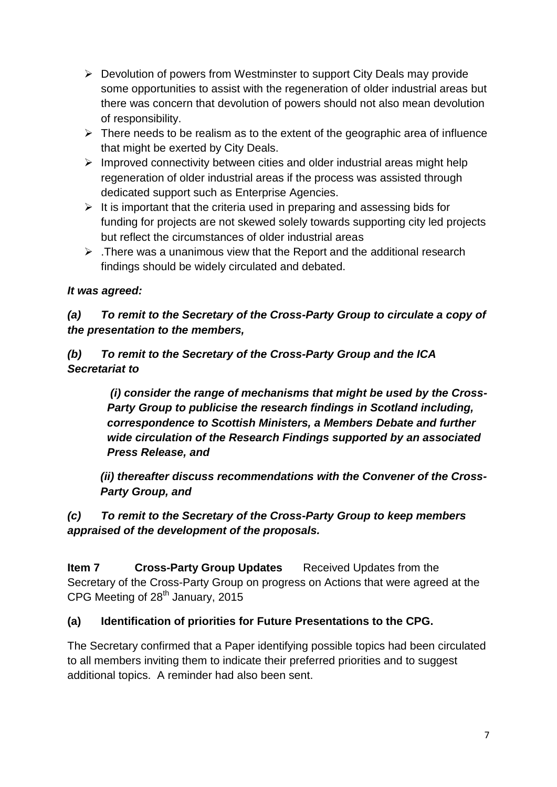- $\triangleright$  Devolution of powers from Westminster to support City Deals may provide some opportunities to assist with the regeneration of older industrial areas but there was concern that devolution of powers should not also mean devolution of responsibility.
- $\triangleright$  There needs to be realism as to the extent of the geographic area of influence that might be exerted by City Deals.
- $\triangleright$  Improved connectivity between cities and older industrial areas might help regeneration of older industrial areas if the process was assisted through dedicated support such as Enterprise Agencies.
- $\triangleright$  It is important that the criteria used in preparing and assessing bids for funding for projects are not skewed solely towards supporting city led projects but reflect the circumstances of older industrial areas
- $\triangleright$  . There was a unanimous view that the Report and the additional research findings should be widely circulated and debated.

# *It was agreed:*

*(a) To remit to the Secretary of the Cross-Party Group to circulate a copy of the presentation to the members,* 

*(b) To remit to the Secretary of the Cross-Party Group and the ICA Secretariat to*

> *(i) consider the range of mechanisms that might be used by the Cross-Party Group to publicise the research findings in Scotland including, correspondence to Scottish Ministers, a Members Debate and further wide circulation of the Research Findings supported by an associated Press Release, and*

*(ii) thereafter discuss recommendations with the Convener of the Cross-Party Group, and*

## *(c) To remit to the Secretary of the Cross-Party Group to keep members appraised of the development of the proposals.*

**Item 7 Cross-Party Group Updates** Received Updates from the Secretary of the Cross-Party Group on progress on Actions that were agreed at the CPG Meeting of 28<sup>th</sup> January, 2015

## **(a) Identification of priorities for Future Presentations to the CPG.**

The Secretary confirmed that a Paper identifying possible topics had been circulated to all members inviting them to indicate their preferred priorities and to suggest additional topics. A reminder had also been sent.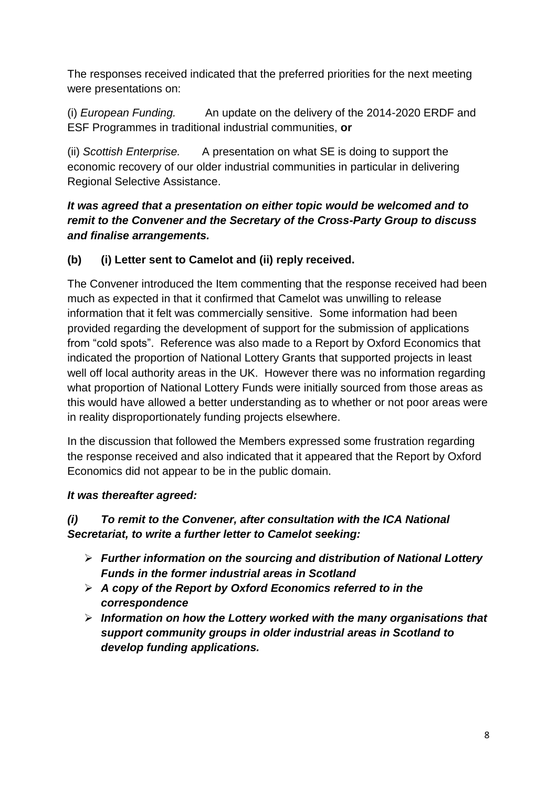The responses received indicated that the preferred priorities for the next meeting were presentations on:

(i) *European Funding.* An update on the delivery of the 2014-2020 ERDF and ESF Programmes in traditional industrial communities, **or**

(ii) *Scottish Enterprise.* A presentation on what SE is doing to support the economic recovery of our older industrial communities in particular in delivering Regional Selective Assistance.

## *It was agreed that a presentation on either topic would be welcomed and to remit to the Convener and the Secretary of the Cross-Party Group to discuss and finalise arrangements.*

# **(b) (i) Letter sent to Camelot and (ii) reply received.**

The Convener introduced the Item commenting that the response received had been much as expected in that it confirmed that Camelot was unwilling to release information that it felt was commercially sensitive. Some information had been provided regarding the development of support for the submission of applications from "cold spots". Reference was also made to a Report by Oxford Economics that indicated the proportion of National Lottery Grants that supported projects in least well off local authority areas in the UK. However there was no information regarding what proportion of National Lottery Funds were initially sourced from those areas as this would have allowed a better understanding as to whether or not poor areas were in reality disproportionately funding projects elsewhere.

In the discussion that followed the Members expressed some frustration regarding the response received and also indicated that it appeared that the Report by Oxford Economics did not appear to be in the public domain.

## *It was thereafter agreed:*

### *(i) To remit to the Convener, after consultation with the ICA National Secretariat, to write a further letter to Camelot seeking:*

- *Further information on the sourcing and distribution of National Lottery Funds in the former industrial areas in Scotland*
- *A copy of the Report by Oxford Economics referred to in the correspondence*
- *Information on how the Lottery worked with the many organisations that support community groups in older industrial areas in Scotland to develop funding applications.*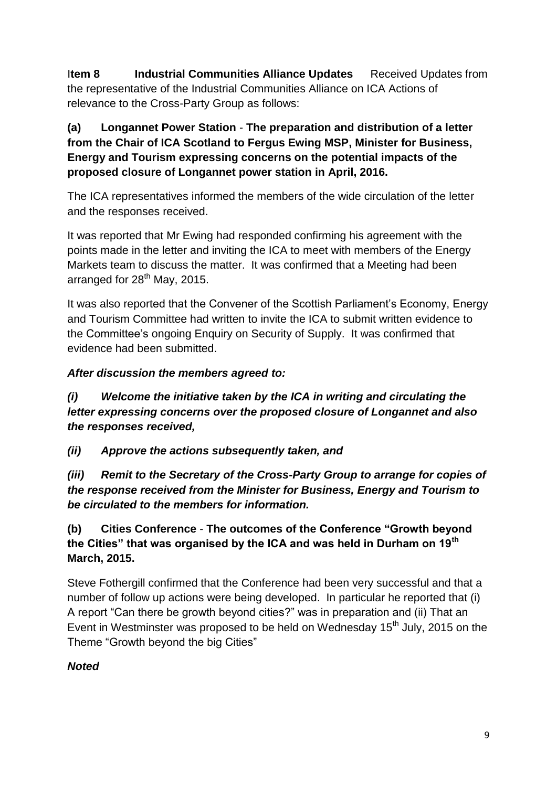I**tem 8 Industrial Communities Alliance Updates** Received Updates from the representative of the Industrial Communities Alliance on ICA Actions of relevance to the Cross-Party Group as follows:

## **(a) Longannet Power Station** - **The preparation and distribution of a letter from the Chair of ICA Scotland to Fergus Ewing MSP, Minister for Business, Energy and Tourism expressing concerns on the potential impacts of the proposed closure of Longannet power station in April, 2016.**

The ICA representatives informed the members of the wide circulation of the letter and the responses received.

It was reported that Mr Ewing had responded confirming his agreement with the points made in the letter and inviting the ICA to meet with members of the Energy Markets team to discuss the matter. It was confirmed that a Meeting had been arranged for  $28<sup>th</sup>$  May, 2015.

It was also reported that the Convener of the Scottish Parliament's Economy, Energy and Tourism Committee had written to invite the ICA to submit written evidence to the Committee's ongoing Enquiry on Security of Supply. It was confirmed that evidence had been submitted.

## *After discussion the members agreed to:*

*(i) Welcome the initiative taken by the ICA in writing and circulating the letter expressing concerns over the proposed closure of Longannet and also the responses received,*

*(ii) Approve the actions subsequently taken, and* 

*(iii) Remit to the Secretary of the Cross-Party Group to arrange for copies of the response received from the Minister for Business, Energy and Tourism to be circulated to the members for information.*

# **(b) Cities Conference** - **The outcomes of the Conference "Growth beyond the Cities" that was organised by the ICA and was held in Durham on 19th March, 2015.**

Steve Fothergill confirmed that the Conference had been very successful and that a number of follow up actions were being developed. In particular he reported that (i) A report "Can there be growth beyond cities?" was in preparation and (ii) That an Event in Westminster was proposed to be held on Wednesday 15<sup>th</sup> July, 2015 on the Theme "Growth beyond the big Cities"

# *Noted*